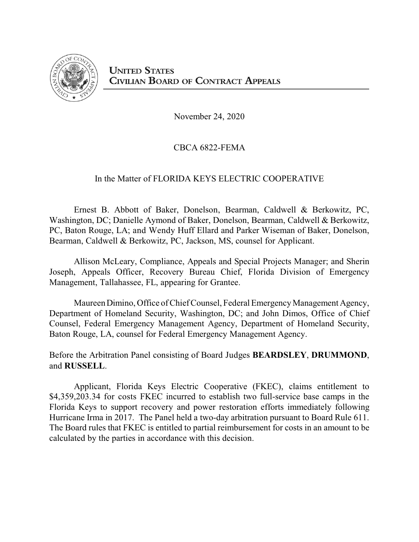

November 24, 2020

# CBCA 6822-FEMA

# In the Matter of FLORIDA KEYS ELECTRIC COOPERATIVE

Ernest B. Abbott of Baker, Donelson, Bearman, Caldwell & Berkowitz, PC, Washington, DC; Danielle Aymond of Baker, Donelson, Bearman, Caldwell & Berkowitz, PC, Baton Rouge, LA; and Wendy Huff Ellard and Parker Wiseman of Baker, Donelson, Bearman, Caldwell & Berkowitz, PC, Jackson, MS, counsel for Applicant.

Allison McLeary, Compliance, Appeals and Special Projects Manager; and Sherin Joseph, Appeals Officer, Recovery Bureau Chief, Florida Division of Emergency Management, Tallahassee, FL, appearing for Grantee.

MaureenDimino, Office of Chief Counsel, Federal Emergency Management Agency, Department of Homeland Security, Washington, DC; and John Dimos, Office of Chief Counsel, Federal Emergency Management Agency, Department of Homeland Security, Baton Rouge, LA, counsel for Federal Emergency Management Agency.

Before the Arbitration Panel consisting of Board Judges **BEARDSLEY**, **DRUMMOND**, and **RUSSELL**.

Applicant, Florida Keys Electric Cooperative (FKEC), claims entitlement to \$4,359,203.34 for costs FKEC incurred to establish two full-service base camps in the Florida Keys to support recovery and power restoration efforts immediately following Hurricane Irma in 2017. The Panel held a two-day arbitration pursuant to Board Rule 611. The Board rules that FKEC is entitled to partial reimbursement for costs in an amount to be calculated by the parties in accordance with this decision.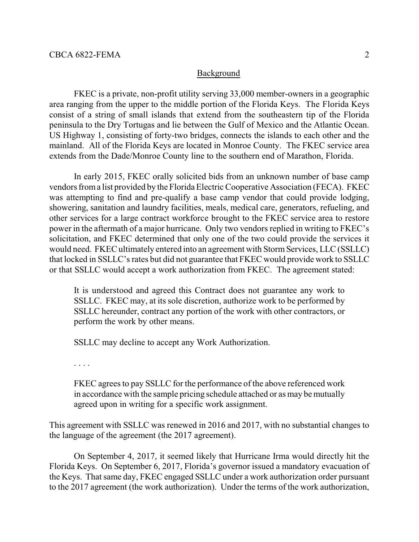#### Background

FKEC is a private, non-profit utility serving 33,000 member-owners in a geographic area ranging from the upper to the middle portion of the Florida Keys. The Florida Keys consist of a string of small islands that extend from the southeastern tip of the Florida peninsula to the Dry Tortugas and lie between the Gulf of Mexico and the Atlantic Ocean. US Highway 1, consisting of forty-two bridges, connects the islands to each other and the mainland. All of the Florida Keys are located in Monroe County. The FKEC service area extends from the Dade/Monroe County line to the southern end of Marathon, Florida.

In early 2015, FKEC orally solicited bids from an unknown number of base camp vendors froma list provided by the Florida Electric Cooperative Association (FECA). FKEC was attempting to find and pre-qualify a base camp vendor that could provide lodging, showering, sanitation and laundry facilities, meals, medical care, generators, refueling, and other services for a large contract workforce brought to the FKEC service area to restore power in the aftermath of a major hurricane. Only two vendors replied in writing to FKEC's solicitation, and FKEC determined that only one of the two could provide the services it would need. FKEC ultimately entered into an agreement with StormServices, LLC (SSLLC) that locked in SSLLC's rates but did not guarantee that FKEC would provide work to SSLLC or that SSLLC would accept a work authorization from FKEC. The agreement stated:

It is understood and agreed this Contract does not guarantee any work to SSLLC. FKEC may, at its sole discretion, authorize work to be performed by SSLLC hereunder, contract any portion of the work with other contractors, or perform the work by other means.

SSLLC may decline to accept any Work Authorization.

. . . .

FKEC agrees to pay SSLLC for the performance of the above referenced work in accordance with the sample pricing schedule attached or as may be mutually agreed upon in writing for a specific work assignment.

This agreement with SSLLC was renewed in 2016 and 2017, with no substantial changes to the language of the agreement (the 2017 agreement).

On September 4, 2017, it seemed likely that Hurricane Irma would directly hit the Florida Keys. On September 6, 2017, Florida's governor issued a mandatory evacuation of the Keys. That same day, FKEC engaged SSLLC under a work authorization order pursuant to the 2017 agreement (the work authorization). Under the terms of the work authorization,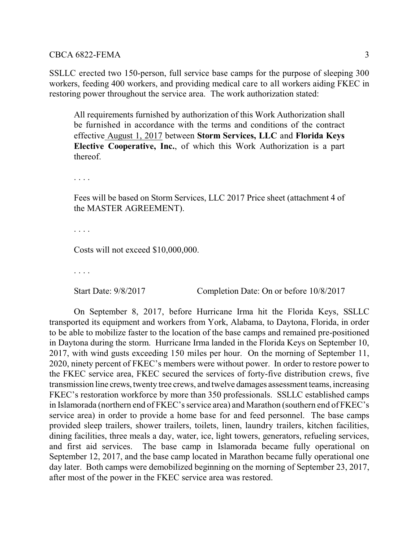SSLLC erected two 150-person, full service base camps for the purpose of sleeping 300 workers, feeding 400 workers, and providing medical care to all workers aiding FKEC in restoring power throughout the service area. The work authorization stated:

All requirements furnished by authorization of this Work Authorization shall be furnished in accordance with the terms and conditions of the contract effective August 1, 2017 between **Storm Services, LLC** and **Florida Keys Elective Cooperative, Inc.**, of which this Work Authorization is a part thereof.

. . . .

Fees will be based on Storm Services, LLC 2017 Price sheet (attachment 4 of the MASTER AGREEMENT).

. . . .

Costs will not exceed \$10,000,000.

. . . .

Start Date: 9/8/2017 Completion Date: On or before 10/8/2017

On September 8, 2017, before Hurricane Irma hit the Florida Keys, SSLLC transported its equipment and workers from York, Alabama, to Daytona, Florida, in order to be able to mobilize faster to the location of the base camps and remained pre-positioned in Daytona during the storm. Hurricane Irma landed in the Florida Keys on September 10, 2017, with wind gusts exceeding 150 miles per hour. On the morning of September 11, 2020, ninety percent of FKEC's members were without power. In order to restore power to the FKEC service area, FKEC secured the services of forty-five distribution crews, five transmission line crews, twenty tree crews, and twelve damages assessment teams, increasing FKEC's restoration workforce by more than 350 professionals. SSLLC established camps in Islamorada (northern end of FKEC's service area) and Marathon (southern end of FKEC's service area) in order to provide a home base for and feed personnel. The base camps provided sleep trailers, shower trailers, toilets, linen, laundry trailers, kitchen facilities, dining facilities, three meals a day, water, ice, light towers, generators, refueling services, and first aid services. The base camp in Islamorada became fully operational on September 12, 2017, and the base camp located in Marathon became fully operational one day later. Both camps were demobilized beginning on the morning of September 23, 2017, after most of the power in the FKEC service area was restored.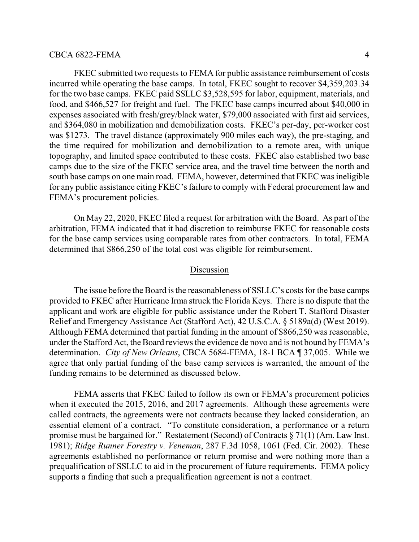FKEC submitted two requests to FEMA for public assistance reimbursement of costs incurred while operating the base camps. In total, FKEC sought to recover \$4,359,203.34 for the two base camps. FKEC paid SSLLC \$3,528,595 for labor, equipment, materials, and food, and \$466,527 for freight and fuel. The FKEC base camps incurred about \$40,000 in expenses associated with fresh/grey/black water, \$79,000 associated with first aid services, and \$364,080 in mobilization and demobilization costs. FKEC's per-day, per-worker cost was \$1273. The travel distance (approximately 900 miles each way), the pre-staging, and the time required for mobilization and demobilization to a remote area, with unique topography, and limited space contributed to these costs. FKEC also established two base camps due to the size of the FKEC service area, and the travel time between the north and south base camps on one main road. FEMA, however, determined that FKEC was ineligible for any public assistance citing FKEC's failure to comply with Federal procurement law and FEMA's procurement policies.

On May 22, 2020, FKEC filed a request for arbitration with the Board. As part of the arbitration, FEMA indicated that it had discretion to reimburse FKEC for reasonable costs for the base camp services using comparable rates from other contractors. In total, FEMA determined that \$866,250 of the total cost was eligible for reimbursement.

#### Discussion

The issue before the Board is the reasonableness of SSLLC's costs for the base camps provided to FKEC after Hurricane Irma struck the Florida Keys. There is no dispute that the applicant and work are eligible for public assistance under the Robert T. Stafford Disaster Relief and Emergency Assistance Act (Stafford Act), 42 U.S.C.A. § 5189a(d) (West 2019). Although FEMA determined that partial funding in the amount of \$866,250 was reasonable, under the Stafford Act, the Board reviews the evidence de novo and is not bound by FEMA's determination. *City of New Orleans*, CBCA 5684-FEMA, 18-1 BCA ¶ 37,005. While we agree that only partial funding of the base camp services is warranted, the amount of the funding remains to be determined as discussed below.

FEMA asserts that FKEC failed to follow its own or FEMA's procurement policies when it executed the 2015, 2016, and 2017 agreements. Although these agreements were called contracts, the agreements were not contracts because they lacked consideration, an essential element of a contract. "To constitute consideration, a performance or a return promise must be bargained for." Restatement (Second) of Contracts § 71(1) (Am. Law Inst. 1981); *Ridge Runner Forestry v. Veneman*, 287 F.3d 1058, 1061 (Fed. Cir. 2002). These agreements established no performance or return promise and were nothing more than a prequalification of SSLLC to aid in the procurement of future requirements. FEMA policy supports a finding that such a prequalification agreement is not a contract.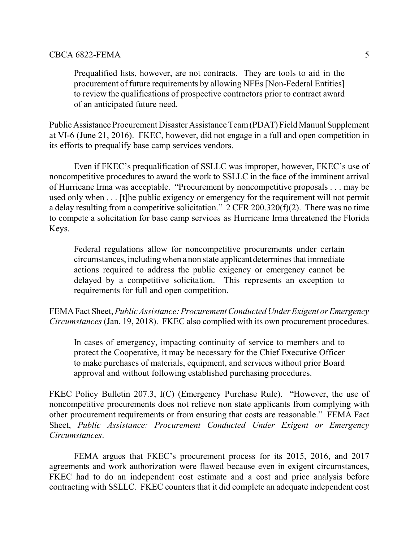Prequalified lists, however, are not contracts. They are tools to aid in the procurement of future requirements by allowing NFEs [Non-Federal Entities] to review the qualifications of prospective contractors prior to contract award of an anticipated future need.

Public Assistance Procurement Disaster Assistance Team(PDAT) Field Manual Supplement at VI-6 (June 21, 2016). FKEC, however, did not engage in a full and open competition in its efforts to prequalify base camp services vendors.

Even if FKEC's prequalification of SSLLC was improper, however, FKEC's use of noncompetitive procedures to award the work to SSLLC in the face of the imminent arrival of Hurricane Irma was acceptable. "Procurement by noncompetitive proposals . . . may be used only when . . . [t]he public exigency or emergency for the requirement will not permit a delay resulting from a competitive solicitation." 2 CFR 200.320(f)(2). There was no time to compete a solicitation for base camp services as Hurricane Irma threatened the Florida Keys.

Federal regulations allow for noncompetitive procurements under certain circumstances, includingwhen a non state applicant determines that immediate actions required to address the public exigency or emergency cannot be delayed by a competitive solicitation. This represents an exception to requirements for full and open competition.

FEMAFact Sheet, *Public Assistance: Procurement Conducted Under Exigent or Emergency Circumstances* (Jan. 19, 2018). FKEC also complied with its own procurement procedures.

In cases of emergency, impacting continuity of service to members and to protect the Cooperative, it may be necessary for the Chief Executive Officer to make purchases of materials, equipment, and services without prior Board approval and without following established purchasing procedures.

FKEC Policy Bulletin 207.3, I(C) (Emergency Purchase Rule). "However, the use of noncompetitive procurements does not relieve non state applicants from complying with other procurement requirements or from ensuring that costs are reasonable." FEMA Fact Sheet, *Public Assistance: Procurement Conducted Under Exigent or Emergency Circumstances*.

FEMA argues that FKEC's procurement process for its 2015, 2016, and 2017 agreements and work authorization were flawed because even in exigent circumstances, FKEC had to do an independent cost estimate and a cost and price analysis before contracting with SSLLC. FKEC counters that it did complete an adequate independent cost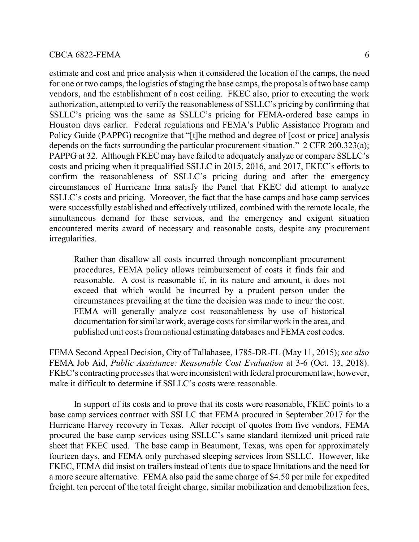estimate and cost and price analysis when it considered the location of the camps, the need for one or two camps, the logistics of staging the base camps, the proposals of two base camp vendors, and the establishment of a cost ceiling. FKEC also, prior to executing the work authorization, attempted to verify the reasonableness of SSLLC's pricing by confirming that SSLLC's pricing was the same as SSLLC's pricing for FEMA-ordered base camps in Houston days earlier. Federal regulations and FEMA's Public Assistance Program and Policy Guide (PAPPG) recognize that "[t]he method and degree of [cost or price] analysis depends on the facts surrounding the particular procurement situation." 2 CFR 200.323(a); PAPPG at 32. Although FKEC may have failed to adequately analyze or compare SSLLC's costs and pricing when it prequalified SSLLC in 2015, 2016, and 2017, FKEC's efforts to confirm the reasonableness of SSLLC's pricing during and after the emergency circumstances of Hurricane Irma satisfy the Panel that FKEC did attempt to analyze SSLLC's costs and pricing. Moreover, the fact that the base camps and base camp services were successfully established and effectively utilized, combined with the remote locale, the simultaneous demand for these services, and the emergency and exigent situation encountered merits award of necessary and reasonable costs, despite any procurement irregularities.

Rather than disallow all costs incurred through noncompliant procurement procedures, FEMA policy allows reimbursement of costs it finds fair and reasonable. A cost is reasonable if, in its nature and amount, it does not exceed that which would be incurred by a prudent person under the circumstances prevailing at the time the decision was made to incur the cost. FEMA will generally analyze cost reasonableness by use of historical documentation for similar work, average costs for similar work in the area, and published unit costs fromnational estimating databases and FEMAcost codes.

FEMA Second Appeal Decision, City of Tallahasee, 1785-DR-FL (May 11, 2015); *see also* FEMA Job Aid, *Public Assistance: Reasonable Cost Evaluation* at 3-6 (Oct. 13, 2018). FKEC's contracting processes that were inconsistent with federal procurementlaw, however, make it difficult to determine if SSLLC's costs were reasonable.

In support of its costs and to prove that its costs were reasonable, FKEC points to a base camp services contract with SSLLC that FEMA procured in September 2017 for the Hurricane Harvey recovery in Texas. After receipt of quotes from five vendors, FEMA procured the base camp services using SSLLC's same standard itemized unit priced rate sheet that FKEC used. The base camp in Beaumont, Texas, was open for approximately fourteen days, and FEMA only purchased sleeping services from SSLLC. However, like FKEC, FEMA did insist on trailers instead of tents due to space limitations and the need for a more secure alternative. FEMA also paid the same charge of \$4.50 per mile for expedited freight, ten percent of the total freight charge, similar mobilization and demobilization fees,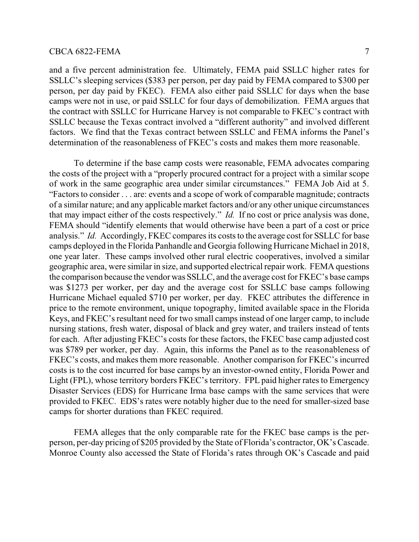and a five percent administration fee. Ultimately, FEMA paid SSLLC higher rates for SSLLC's sleeping services (\$383 per person, per day paid by FEMA compared to \$300 per person, per day paid by FKEC). FEMA also either paid SSLLC for days when the base camps were not in use, or paid SSLLC for four days of demobilization. FEMA argues that the contract with SSLLC for Hurricane Harvey is not comparable to FKEC's contract with SSLLC because the Texas contract involved a "different authority" and involved different factors. We find that the Texas contract between SSLLC and FEMA informs the Panel's determination of the reasonableness of FKEC's costs and makes them more reasonable.

To determine if the base camp costs were reasonable, FEMA advocates comparing the costs of the project with a "properly procured contract for a project with a similar scope of work in the same geographic area under similar circumstances." FEMA Job Aid at 5. "Factors to consider . . . are: events and a scope of work of comparable magnitude; contracts of a similar nature; and any applicable market factors and/or any other unique circumstances that may impact either of the costs respectively." *Id.* If no cost or price analysis was done, FEMA should "identify elements that would otherwise have been a part of a cost or price analysis." *Id.* Accordingly, FKEC compares its costs to the average cost for SSLLC for base camps deployed in the Florida Panhandle and Georgia following Hurricane Michael in 2018, one year later. These camps involved other rural electric cooperatives, involved a similar geographic area, were similar in size, and supported electrical repair work. FEMA questions the comparison because the vendor was SSLLC, and the average cost for FKEC's base camps was \$1273 per worker, per day and the average cost for SSLLC base camps following Hurricane Michael equaled \$710 per worker, per day. FKEC attributes the difference in price to the remote environment, unique topography, limited available space in the Florida Keys, and FKEC's resultant need for two small camps instead of one larger camp, to include nursing stations, fresh water, disposal of black and grey water, and trailers instead of tents for each. After adjusting FKEC's costs for these factors, the FKEC base camp adjusted cost was \$789 per worker, per day. Again, this informs the Panel as to the reasonableness of FKEC's costs, and makes them more reasonable. Another comparison for FKEC's incurred costs is to the cost incurred for base camps by an investor-owned entity, Florida Power and Light (FPL), whose territory borders FKEC's territory. FPL paid higher rates to Emergency Disaster Services (EDS) for Hurricane Irma base camps with the same services that were provided to FKEC. EDS's rates were notably higher due to the need for smaller-sized base camps for shorter durations than FKEC required.

FEMA alleges that the only comparable rate for the FKEC base camps is the perperson, per-day pricing of \$205 provided by the State of Florida's contractor, OK's Cascade. Monroe County also accessed the State of Florida's rates through OK's Cascade and paid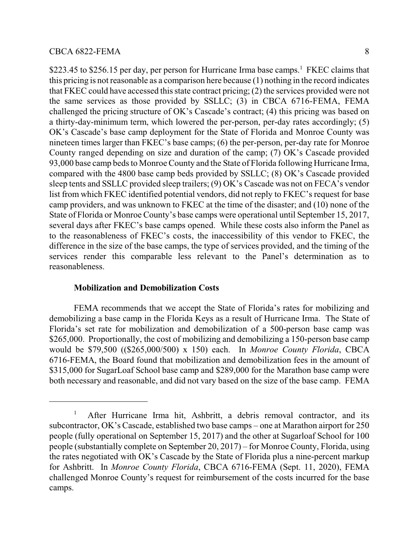\$223.45 to \$256.15 per day, per person for Hurricane Irma base camps.<sup>1</sup> FKEC claims that this pricing is not reasonable as a comparison here because (1) nothing in the record indicates that FKEC could have accessed this state contract pricing; (2) the services provided were not the same services as those provided by SSLLC; (3) in CBCA 6716-FEMA, FEMA challenged the pricing structure of OK's Cascade's contract; (4) this pricing was based on a thirty-day-minimum term, which lowered the per-person, per-day rates accordingly; (5) OK's Cascade's base camp deployment for the State of Florida and Monroe County was nineteen times larger than FKEC's base camps; (6) the per-person, per-day rate for Monroe County ranged depending on size and duration of the camp; (7) OK's Cascade provided 93,000 base camp beds to Monroe County and the State of Florida following Hurricane Irma, compared with the 4800 base camp beds provided by SSLLC; (8) OK's Cascade provided sleep tents and SSLLC provided sleep trailers; (9) OK's Cascade was not on FECA's vendor list from which FKEC identified potential vendors, did not reply to FKEC's request for base camp providers, and was unknown to FKEC at the time of the disaster; and (10) none of the State of Florida or Monroe County's base camps were operational until September 15, 2017, several days after FKEC's base camps opened. While these costs also inform the Panel as to the reasonableness of FKEC's costs, the inaccessibility of this vendor to FKEC, the difference in the size of the base camps, the type of services provided, and the timing of the services render this comparable less relevant to the Panel's determination as to reasonableness.

### **Mobilization and Demobilization Costs**

FEMA recommends that we accept the State of Florida's rates for mobilizing and demobilizing a base camp in the Florida Keys as a result of Hurricane Irma. The State of Florida's set rate for mobilization and demobilization of a 500-person base camp was \$265,000. Proportionally, the cost of mobilizing and demobilizing a 150-person base camp would be \$79,500 ((\$265,000/500) x 150) each. In *Monroe County Florida*, CBCA 6716-FEMA, the Board found that mobilization and demobilization fees in the amount of \$315,000 for SugarLoaf School base camp and \$289,000 for the Marathon base camp were both necessary and reasonable, and did not vary based on the size of the base camp. FEMA

<sup>&</sup>lt;sup>1</sup> After Hurricane Irma hit, Ashbritt, a debris removal contractor, and its subcontractor, OK's Cascade, established two base camps – one at Marathon airport for 250 people (fully operational on September 15, 2017) and the other at Sugarloaf School for 100 people (substantially complete on September 20, 2017) – for Monroe County, Florida, using the rates negotiated with OK's Cascade by the State of Florida plus a nine-percent markup for Ashbritt. In *Monroe County Florida*, CBCA 6716-FEMA (Sept. 11, 2020), FEMA challenged Monroe County's request for reimbursement of the costs incurred for the base camps.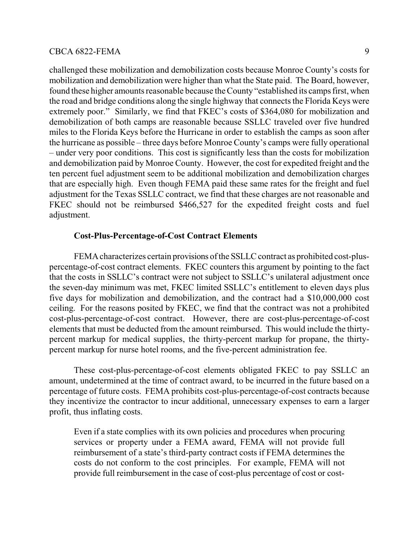challenged these mobilization and demobilization costs because Monroe County's costs for mobilization and demobilization were higher than what the State paid. The Board, however, found these higher amounts reasonable because the County "established its camps first, when the road and bridge conditions along the single highway that connects the Florida Keys were extremely poor." Similarly, we find that FKEC's costs of \$364,080 for mobilization and demobilization of both camps are reasonable because SSLLC traveled over five hundred miles to the Florida Keys before the Hurricane in order to establish the camps as soon after the hurricane as possible – three days before Monroe County's camps were fully operational – under very poor conditions. This cost is significantly less than the costs for mobilization and demobilization paid by Monroe County. However, the cost for expedited freight and the ten percent fuel adjustment seem to be additional mobilization and demobilization charges that are especially high. Even though FEMA paid these same rates for the freight and fuel adjustment for the Texas SSLLC contract, we find that these charges are not reasonable and FKEC should not be reimbursed \$466,527 for the expedited freight costs and fuel adjustment.

### **Cost-Plus-Percentage-of-Cost Contract Elements**

FEMAcharacterizes certain provisions of the SSLLC contract as prohibited cost-pluspercentage-of-cost contract elements. FKEC counters this argument by pointing to the fact that the costs in SSLLC's contract were not subject to SSLLC's unilateral adjustment once the seven-day minimum was met, FKEC limited SSLLC's entitlement to eleven days plus five days for mobilization and demobilization, and the contract had a \$10,000,000 cost ceiling. For the reasons posited by FKEC, we find that the contract was not a prohibited cost-plus-percentage-of-cost contract. However, there are cost-plus-percentage-of-cost elements that must be deducted from the amount reimbursed. This would include the thirtypercent markup for medical supplies, the thirty-percent markup for propane, the thirtypercent markup for nurse hotel rooms, and the five-percent administration fee.

These cost-plus-percentage-of-cost elements obligated FKEC to pay SSLLC an amount, undetermined at the time of contract award, to be incurred in the future based on a percentage of future costs. FEMA prohibits cost-plus-percentage-of-cost contracts because they incentivize the contractor to incur additional, unnecessary expenses to earn a larger profit, thus inflating costs.

Even if a state complies with its own policies and procedures when procuring services or property under a FEMA award, FEMA will not provide full reimbursement of a state's third-party contract costs if FEMA determines the costs do not conform to the cost principles. For example, FEMA will not provide full reimbursement in the case of cost-plus percentage of cost or cost